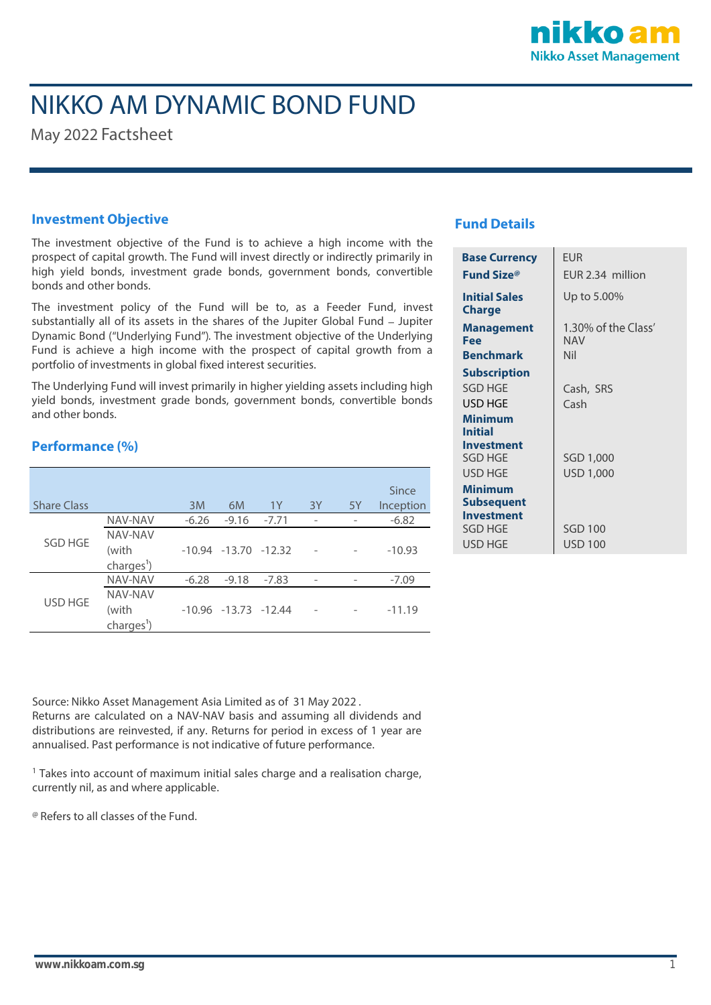

# NIKKO AM DYNAMIC BOND FUND

May 2022 Factsheet

### **Investment Objective**

The investment objective of the Fund is to achieve a high income with the prospect of capital growth. The Fund will invest directly or indirectly primarily in high yield bonds, investment grade bonds, government bonds, convertible bonds and other bonds.

The investment policy of the Fund will be to, as a Feeder Fund, invest substantially all of its assets in the shares of the Jupiter Global Fund - Jupiter Dynamic Bond ("Underlying Fund"). The investment objective of the Underlying Fund is achieve a high income with the prospect of capital growth from a portfolio of investments in global fixed interest securities.

The Underlying Fund will invest primarily in higher yielding assets including high yield bonds, investment grade bonds, government bonds, convertible bonds and other bonds.

## **Performance (%)**

|                    |                                            |         |                            |         |    |    | Since     |
|--------------------|--------------------------------------------|---------|----------------------------|---------|----|----|-----------|
| <b>Share Class</b> |                                            | 3M      | 6M                         | 1Y      | 3Y | 5Y | Inception |
| <b>SGD HGE</b>     | NAV-NAV                                    | $-6.26$ | $-9.16$                    | $-7.71$ |    |    | $-6.82$   |
|                    | NAV-NAV<br>(with<br>charges <sup>1</sup> ) |         | $-10.94$ $-13.70$ $-12.32$ |         |    |    | $-10.93$  |
| USD HGE            | <b>NAV-NAV</b>                             | $-6.28$ | $-9.18$                    | $-7.83$ |    |    | $-7.09$   |
|                    | NAV-NAV<br>(with<br>charges <sup>1</sup> ) |         | $-10.96$ $-13.73$ $-12.44$ |         |    |    | $-11.19$  |

## **Fund Details**

| <b>Base Currency</b>                  | <b>EUR</b>                        |  |  |  |  |
|---------------------------------------|-----------------------------------|--|--|--|--|
|                                       |                                   |  |  |  |  |
| <b>Fund Size</b> ®                    | EUR 2.34 million                  |  |  |  |  |
| <b>Initial Sales</b><br><b>Charge</b> | Up to 5.00%                       |  |  |  |  |
| Management<br>Fee                     | 1.30% of the Class'<br><b>NAV</b> |  |  |  |  |
| <b>Benchmark</b>                      | Nil                               |  |  |  |  |
| <b>Subscription</b>                   |                                   |  |  |  |  |
| <b>SGD HGE</b>                        | Cash, SRS                         |  |  |  |  |
| USD HGE                               | Cash                              |  |  |  |  |
| Minimum<br><b>Initial</b>             |                                   |  |  |  |  |
| Investment                            |                                   |  |  |  |  |
| <b>SGD HGE</b>                        | SGD 1,000                         |  |  |  |  |
| USD HGE                               | USD 1,000                         |  |  |  |  |
| <b>Minimum</b>                        |                                   |  |  |  |  |
| <b>Subsequent</b>                     |                                   |  |  |  |  |
| <b>Investment</b>                     |                                   |  |  |  |  |
| SGD HGE                               | <b>SGD 100</b>                    |  |  |  |  |
| USD HGE                               | USD 100                           |  |  |  |  |

Source: Nikko Asset Management Asia Limited as of 31 May 2022 . Returns are calculated on a NAV-NAV basis and assuming all dividends and distributions are reinvested, if any. Returns for period in excess of 1 year are annualised. Past performance is not indicative of future performance.

<sup>1</sup> Takes into account of maximum initial sales charge and a realisation charge, currently nil, as and where applicable.

@ Refers to all classes of the Fund.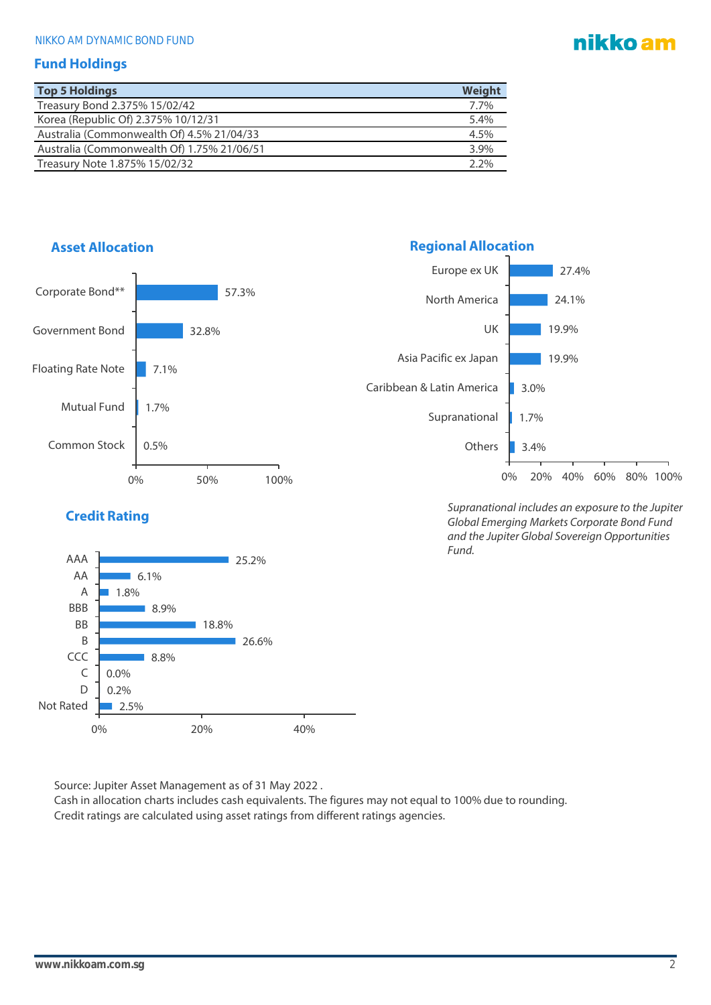# nikko am

#### **Fund Holdings**

| <b>Top 5 Holdings</b>                      | Weight  |
|--------------------------------------------|---------|
| Treasury Bond 2.375% 15/02/42              | 7.7%    |
| Korea (Republic Of) 2.375% 10/12/31        | 5.4%    |
| Australia (Commonwealth Of) 4.5% 21/04/33  | 4.5%    |
| Australia (Commonwealth Of) 1.75% 21/06/51 | 3.9%    |
| Treasury Note 1.875% 15/02/32              | $2.2\%$ |



*Global Emerging Markets Corporate Bond Fund and the Jupiter Global Sovereign Opportunities Fund.*



Source: Jupiter Asset Management as of 31 May 2022 .

0% 20% 40%

Cash in allocation charts includes cash equivalents. The figures may not equal to 100% due to rounding. Credit ratings are calculated using asset ratings from different ratings agencies.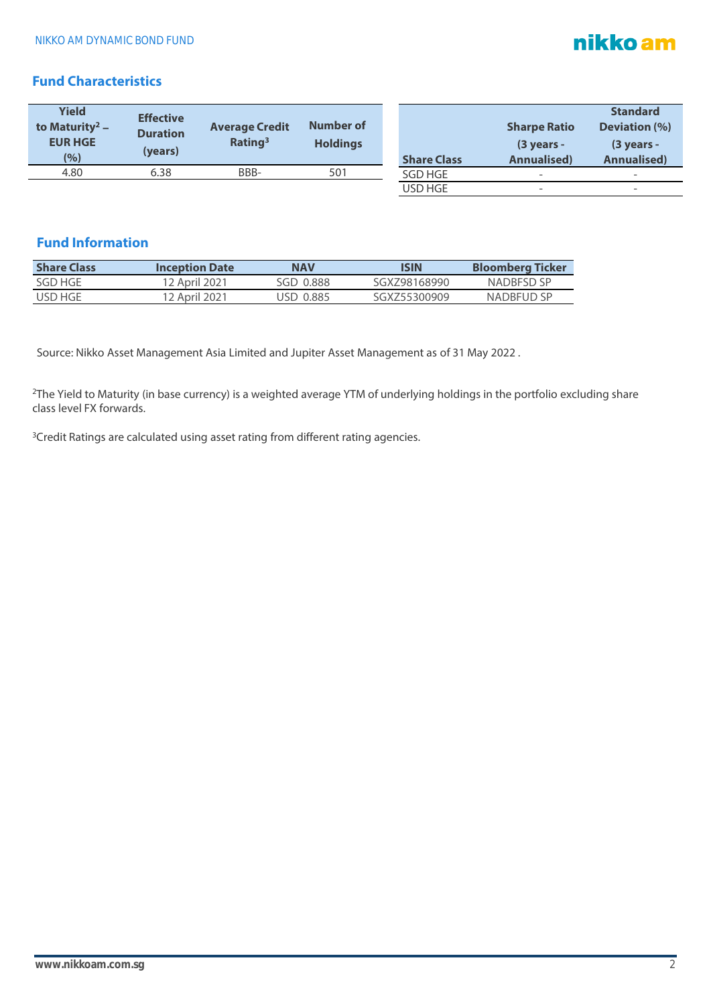# nikko am

# **Fund Characteristics**

| <b>Yield</b><br>to Maturity <sup>2</sup> –<br><b>EUR HGE</b><br>(%) | <b>Effective</b><br><b>Duration</b><br>(years) | <b>Average Credit</b><br>Rating <sup>3</sup> | Number of<br><b>Holdings</b> | <b>Share Class</b> | <b>Sharpe Ratio</b><br>$(3$ years -<br><b>Annualised)</b> | <b>Standard</b><br><b>Deviation (%)</b><br>$(3$ years -<br><b>Annualised)</b> |
|---------------------------------------------------------------------|------------------------------------------------|----------------------------------------------|------------------------------|--------------------|-----------------------------------------------------------|-------------------------------------------------------------------------------|
| 4.80                                                                | 6.38                                           | BBB-                                         | 501                          | SGD HGE            | $\overline{\phantom{a}}$                                  | -                                                                             |
|                                                                     |                                                |                                              |                              | USD HGE            | $\overline{\phantom{0}}$                                  | -                                                                             |

# **Fund Information**

| <b>Share Class</b> | <b>Inception Date</b> | <b>NAV</b> | <b>ISIN</b>  | <b>Bloomberg Ticker</b> |
|--------------------|-----------------------|------------|--------------|-------------------------|
| SGD HGF            | 12 April 2021         | SGD 0.888  | SGX798168990 | NADRESD SP              |
| USD HGE            | 12 April 2021         | USD 0.885  | SGX755300909 | NADBFUD SP              |

Source: Nikko Asset Management Asia Limited and Jupiter Asset Management as of 31 May 2022 .

<sup>2</sup>The Yield to Maturity (in base currency) is a weighted average YTM of underlying holdings in the portfolio excluding share class level FX forwards.

<sup>3</sup>Credit Ratings are calculated using asset rating from different rating agencies.